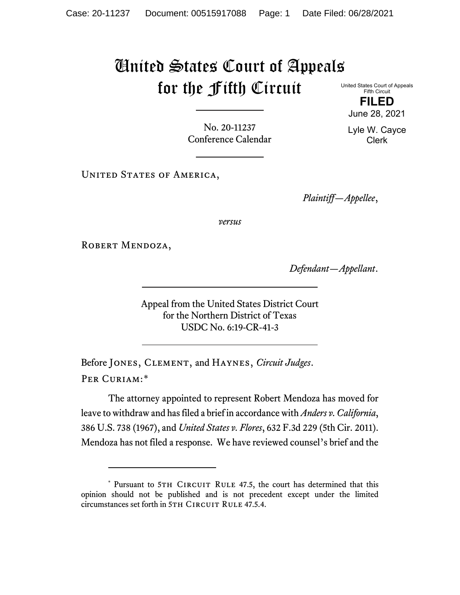## United States Court of Appeals for the Fifth Circuit

United States Court of Appeals Fifth Circuit **FILED**

No. 20-11237 Conference Calendar

UNITED STATES OF AMERICA,

*Plaintiff—Appellee*,

*versus*

ROBERT MENDOZA,

*Defendant—Appellant*.

Appeal from the United States District Court for the Northern District of Texas USDC No. 6:19-CR-41-3

Before Jones, Clement, and Haynes, *Circuit Judges*. Per Curiam:[\\*](#page-0-0)

The attorney appointed to represent Robert Mendoza has moved for leave to withdraw and has filed a brief in accordance with *Anders v. California*, 386 U.S. 738 (1967), and *United States v. Flores*, 632 F.3d 229 (5th Cir. 2011). Mendoza has not filed a response. We have reviewed counsel's brief and the

June 28, 2021

Lyle W. Cayce Clerk

<span id="page-0-0"></span><sup>\*</sup> Pursuant to 5TH CIRCUIT RULE 47.5, the court has determined that this opinion should not be published and is not precedent except under the limited circumstances set forth in 5TH CIRCUIT RULE 47.5.4.